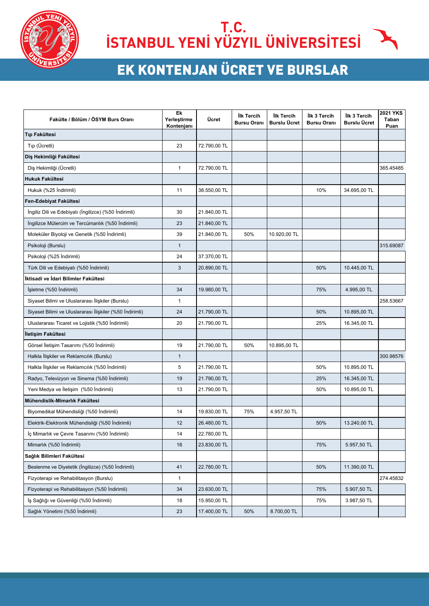

## T.C.<br>ISTANBUL YENİ YÜZYIL ÜNİVERSİTESİ

## **EK KONTENJAN ÜCRET VE BURSLAR**

| Fakülte / Bölüm / ÖSYM Burs Oranı                        | Ek<br>Yerleştirme<br>Kontenjanı | Ücret        | İlk Tercih<br><b>Bursu Oranı</b> | <b>İlk Tercih</b><br><b>Burslu Ücret</b> | <b>İlk 3 Tercih</b><br><b>Bursu Oranı</b> | İlk 3 Tercih<br><b>Burslu Ücret</b> | <b>2021 YKS</b><br>Taban<br>Puan |
|----------------------------------------------------------|---------------------------------|--------------|----------------------------------|------------------------------------------|-------------------------------------------|-------------------------------------|----------------------------------|
| <b>Tip Fakültesi</b>                                     |                                 |              |                                  |                                          |                                           |                                     |                                  |
| Tip (Ücretli)                                            | 23                              | 72.790,00 TL |                                  |                                          |                                           |                                     |                                  |
| Diş Hekimliği Fakültesi                                  |                                 |              |                                  |                                          |                                           |                                     |                                  |
| Diş Hekimliği (Ücretli)                                  | $\mathbf{1}$                    | 72.790,00 TL |                                  |                                          |                                           |                                     | 365.45485                        |
| <b>Hukuk Fakültesi</b>                                   |                                 |              |                                  |                                          |                                           |                                     |                                  |
| Hukuk (%25 İndirimli)                                    | 11                              | 38.550,00 TL |                                  |                                          | 10%                                       | 34.695,00 TL                        |                                  |
| Fen-Edebiyat Fakültesi                                   |                                 |              |                                  |                                          |                                           |                                     |                                  |
| İngiliz Dili ve Edebiyatı (İngilizce) (%50 İndirimli)    | 30                              | 21.840,00 TL |                                  |                                          |                                           |                                     |                                  |
| İngilizce Mütercim ve Tercümanlık (%50 İndirimli)        | 23                              | 21.840,00 TL |                                  |                                          |                                           |                                     |                                  |
| Moleküler Biyoloji ve Genetik (%50 İndirimli)            | 39                              | 21.840,00 TL | 50%                              | 10.920,00 TL                             |                                           |                                     |                                  |
| Psikoloji (Burslu)                                       | $\mathbf{1}$                    |              |                                  |                                          |                                           |                                     | 315.69087                        |
| Psikoloji (%25 Indirimli)                                | 24                              | 37.370,00 TL |                                  |                                          |                                           |                                     |                                  |
| Türk Dili ve Edebiyatı (%50 İndirimli)                   | 3                               | 20.890,00 TL |                                  |                                          | 50%                                       | 10.445,00 TL                        |                                  |
| İktisadi ve İdari Bilimler Fakültesi                     |                                 |              |                                  |                                          |                                           |                                     |                                  |
| İşletme (%50 İndirimli)                                  | 34                              | 19.980,00 TL |                                  |                                          | 75%                                       | 4.995,00 TL                         |                                  |
| Siyaset Bilimi ve Uluslararası İlişkiler (Burslu)        | 1                               |              |                                  |                                          |                                           |                                     | 258.53667                        |
| Siyaset Bilimi ve Uluslararası İlişkiler (%50 İndirimli) | 24                              | 21.790,00 TL |                                  |                                          | 50%                                       | 10.895,00 TL                        |                                  |
| Uluslararası Ticaret ve Lojistik (%50 İndirimli)         | 20                              | 21.790,00 TL |                                  |                                          | 25%                                       | 16.345,00 TL                        |                                  |
| İletişim Fakültesi                                       |                                 |              |                                  |                                          |                                           |                                     |                                  |
| Görsel İletişim Tasarımı (%50 İndirimli)                 | 19                              | 21.790,00 TL | 50%                              | 10.895,00 TL                             |                                           |                                     |                                  |
| Halkla İlişkiler ve Reklamcılık (Burslu)                 | $\mathbf{1}$                    |              |                                  |                                          |                                           |                                     | 300.98576                        |
| Halkla İlişkiler ve Reklamcılık (%50 İndirimli)          | 5                               | 21.790,00 TL |                                  |                                          | 50%                                       | 10.895,00 TL                        |                                  |
| Radyo, Televizyon ve Sinema (%50 İndirimli)              | 19                              | 21.790,00 TL |                                  |                                          | 25%                                       | 16.345,00 TL                        |                                  |
| Yeni Medya ve İletişim (%50 İndirimli)                   | 13                              | 21.790,00 TL |                                  |                                          | 50%                                       | 10.895,00 TL                        |                                  |
| Mühendislik-Mimarlık Fakültesi                           |                                 |              |                                  |                                          |                                           |                                     |                                  |
| Biyomedikal Mühendisliği (%50 İndirimli)                 | 14                              | 19.830,00 TL | 75%                              | 4.957,50 TL                              |                                           |                                     |                                  |
| Elektrik-Elektronik Mühendisliği (%50 İndirimli)         | 12                              | 26.480,00 TL |                                  |                                          | 50%                                       | 13.240,00 TL                        |                                  |
| İç Mimarlık ve Çevre Tasarımı (%50 İndirimli)            | 14                              | 22.780,00 TL |                                  |                                          |                                           |                                     |                                  |
| Mimarlık (%50 İndirimli)                                 | 16                              | 23.830,00 TL |                                  |                                          | 75%                                       | 5.957,50 TL                         |                                  |
| Sağlık Bilimleri Fakültesi                               |                                 |              |                                  |                                          |                                           |                                     |                                  |
| Beslenme ve Diyetetik (İngilizce) (%50 İndirimli)        | 41                              | 22.780,00 TL |                                  |                                          | 50%                                       | 11.390,00 TL                        |                                  |
| Fizyoterapi ve Rehabilitasyon (Burslu)                   | 1                               |              |                                  |                                          |                                           |                                     | 274.45832                        |
| Fizyoterapi ve Rehabilitasyon (%50 İndirimli)            | 34                              | 23.630,00 TL |                                  |                                          | 75%                                       | 5.907,50 TL                         |                                  |
| İş Sağlığı ve Güvenliği (%50 İndirimli)                  | 18                              | 15.950,00 TL |                                  |                                          | 75%                                       | 3.987,50 TL                         |                                  |
| Sağlık Yönetimi (%50 İndirimli)                          | 23                              | 17.400,00 TL | 50%                              | 8.700,00 TL                              |                                           |                                     |                                  |